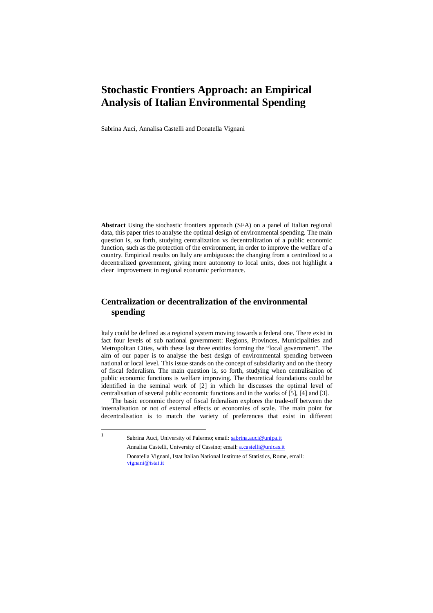# **Stochastic Frontiers Approach: an Empirical Analysis of Italian Environmental Spending**

Sabrina Auci, Annalisa Castelli and Donatella Vignani

**Abstract** Using the stochastic frontiers approach (SFA) on a panel of Italian regional data, this paper tries to analyse the optimal design of environmental spending. The main question is, so forth, studying centralization vs decentralization of a public economic function, such as the protection of the environment, in order to improve the welfare of a country. Empirical results on Italy are ambiguous: the changing from a centralized to a decentralized government, giving more autonomy to local units, does not highlight a clear improvement in regional economic performance.

## **Centralization or decentralization of the environmental spending**

Italy could be defined as a regional system moving towards a federal one. There exist in fact four levels of sub national government: Regions, Provinces, Municipalities and Metropolitan Cities, with these last three entities forming the "local government". The aim of our paper is to analyse the best design of environmental spending between national or local level. This issue stands on the concept of subsidiarity and on the theory of fiscal federalism. The main question is, so forth, studying when centralisation of public economic functions is welfare improving. The theoretical foundations could be identified in the seminal work of [2] in which he discusses the optimal level of centralisation of several public economic functions and in the works of [5], [4] and [3].

The basic economic theory of fiscal federalism explores the trade-off between the internalisation or not of external effects or economies of scale. The main point for decentralisation is to match the variety of preferences that exist in different

Sabrina Auci, University of Palermo; email: sabrina.auci@unipa.it Annalisa Castelli, University of Cassino; email: a.castelli@unicas.it Donatella Vignani, Istat Italian National Institute of Statistics, Rome, email: vignani@istat.it

<sup>|&</sup>lt;br>|<br>|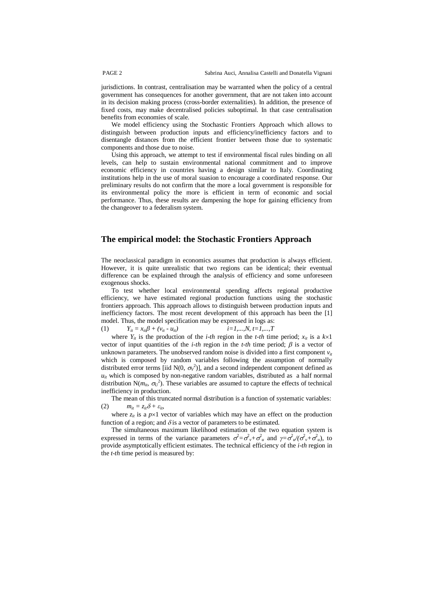jurisdictions. In contrast, centralisation may be warranted when the policy of a central government has consequences for another government, that are not taken into account in its decision making process (cross-border externalities). In addition, the presence of fixed costs, may make decentralised policies suboptimal. In that case centralisation benefits from economies of scale.

We model efficiency using the Stochastic Frontiers Approach which allows to distinguish between production inputs and efficiency/inefficiency factors and to disentangle distances from the efficient frontier between those due to systematic components and those due to noise.

Using this approach, we attempt to test if environmental fiscal rules binding on all levels, can help to sustain environmental national commitment and to improve economic efficiency in countries having a design similar to Italy. Coordinating institutions help in the use of moral suasion to encourage a coordinated response. Our preliminary results do not confirm that the more a local government is responsible for its environmental policy the more is efficient in term of economic and social performance. Thus, these results are dampening the hope for gaining efficiency from the changeover to a federalism system.

#### **The empirical model: the Stochastic Frontiers Approach**

The neoclassical paradigm in economics assumes that production is always efficient. However, it is quite unrealistic that two regions can be identical; their eventual difference can be explained through the analysis of efficiency and some unforeseen exogenous shocks.

To test whether local environmental spending affects regional productive efficiency, we have estimated regional production functions using the stochastic frontiers approach. This approach allows to distinguish between production inputs and inefficiency factors. The most recent development of this approach has been the [1] model. Thus, the model specification may be expressed in logs as: (1)  $Y_{it} = x_{it}\beta + (v_{it} \cdot u_{it})$   $i=1,...,N, t=1,...,T$ 

where  $Y_{it}$  is the production of the *i-th* region in the *t-th* time period;  $x_{it}$  is a  $k \times 1$ vector of input quantities of the *i-th* region in the *t-th* time period;  $\beta$  is a vector of unknown parameters. The unobserved random noise is divided into a first component  $v_{it}$ which is composed by random variables following the assumption of normally distributed error terms [iid N(0,  $\sigma_V^2$ )], and a second independent component defined as  $u_{it}$  which is composed by non-negative random variables, distributed as a half normal distribution  $N(m_{it}, \sigma_U^2)$ . These variables are assumed to capture the effects of technical inefficiency in production.

The mean of this truncated normal distribution is a function of systematic variables: (2)  $m_{it} = z_{it}\delta + \varepsilon_{it}$ 

where  $z_{it}$  is a  $p \times 1$  vector of variables which may have an effect on the production function of a region; and  $\delta$  is a vector of parameters to be estimated.

The simultaneous maximum likelihood estimation of the two equation system is expressed in terms of the variance parameters  $\sigma^2 = \sigma_v^2 + \sigma_u^2$  and  $\gamma = \sigma_u^2/(\sigma_v^2 + \sigma_u^2)$ , to provide asymptotically efficient estimates. The technical efficiency of the *i-th* region in the *t-th* time period is measured by: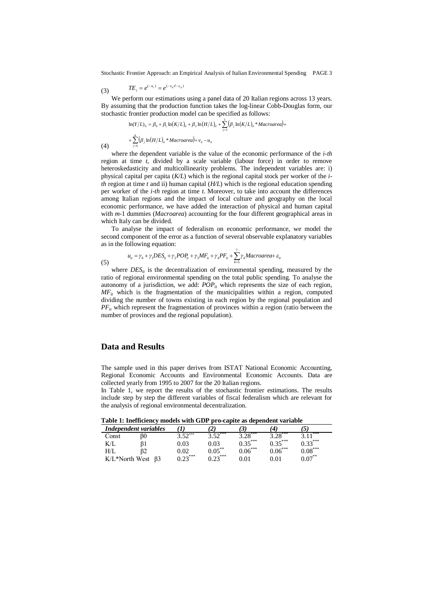Stochastic Frontier Approach: an Empirical Analysis of Italian Environmental Spending PAGE 3

$$
(3) \hspace{1cm} TE_i = e^{(-u_i)} = e^{(-z_{ii}\delta - \varepsilon_{ii})}
$$

(4)

We perform our estimations using a panel data of 20 Italian regions across 13 years. By assuming that the production function takes the log-linear Cobb-Douglas form, our stochastic frontier production model can be specified as follows:

$$
\ln(Y/L)_u = \beta_0 + \beta_1 \ln(K/L)_u + \beta_2 \ln(H/L)_u + \sum_{j=3}^5 (\beta_j \ln(K/L)_u * \text{Macroarea}) +
$$
  
+ 
$$
\sum_{j=6}^8 (\beta_j \ln(H/L)_u * \text{Macroarea}) + v_u - u_u
$$

where the dependent variable is the value of the economic performance of the *i-th* region at time *t*, divided by a scale variable (labour force) in order to remove heteroskedasticity and multicollinearity problems. The independent variables are: i) physical capital per capita (*K/L*) which is the regional capital stock per worker of the *ith* region at time *t* and ii) human capital (*H/L*) which is the regional education spending per worker of the *i-th* region at time *t*. Moreover, to take into account the differences among Italian regions and the impact of local culture and geography on the local economic performance, we have added the interaction of physical and human capital with *m*-1 dummies (*Macroarea*) accounting for the four different geographical areas in which Italy can be divided.

To analyse the impact of federalism on economic performance, we model the second component of the error as a function of several observable explanatory variables as in the following equation:

$$
u_{ii} = \gamma_0 + \gamma_1 DES_{ii} + \gamma_2 POP_{ii} + \gamma_3 MF_{ii} + \gamma_4 PF_{ii} + \sum_{k=5}^{7} \gamma_k Macroarea + \varepsilon_{ii}
$$
\n(5)

where  $DES_{i}$  is the decentralization of environmental spending, measured by the ratio of regional environmental spending on the total public spending. To analyse the autonomy of a jurisdiction, we add:  $\overline{POP}_{it}$  which represents the size of each region,  $MF<sub>it</sub>$  which is the fragmentation of the municipalities within a region, computed dividing the number of towns existing in each region by the regional population and *PF*<sup>*it*</sup> which represent the fragmentation of provinces within a region (ratio between the number of provinces and the regional population).

### **Data and Results**

The sample used in this paper derives from ISTAT National Economic Accounting, Regional Economic Accounts and Environmental Economic Accounts. Data are collected yearly from 1995 to 2007 for the 20 Italian regions.

In Table 1, we report the results of the stochastic frontier estimations. The results include step by step the different variables of fiscal federalism which are relevant for the analysis of regional environmental decentralization.

| <b>Table 1. Includenty models with GDT pro-capite as dependent variable</b> |    |                             |           |           |           |           |  |  |  |
|-----------------------------------------------------------------------------|----|-----------------------------|-----------|-----------|-----------|-----------|--|--|--|
| Independent variables                                                       |    |                             |           | İ         |           | C         |  |  |  |
| Const                                                                       | ß0 | $\cdot$ $5^{\frac{1}{2}**}$ | ***       | ***       | ***       | ***       |  |  |  |
| K/I                                                                         |    | 0.03                        | 0.03      | $0.35***$ | $1.35***$ | $0.33***$ |  |  |  |
| H/I                                                                         |    | ).02                        | $0.05***$ | $0.06***$ | $0.06***$ | $0.08***$ |  |  |  |
| K/L*North West                                                              |    | $0.2^{***}$                 | $0.22***$ | 0.01      |           | $0.07***$ |  |  |  |

**Table 1: Inefficiency models with GDP pro-capite as dependent variable**